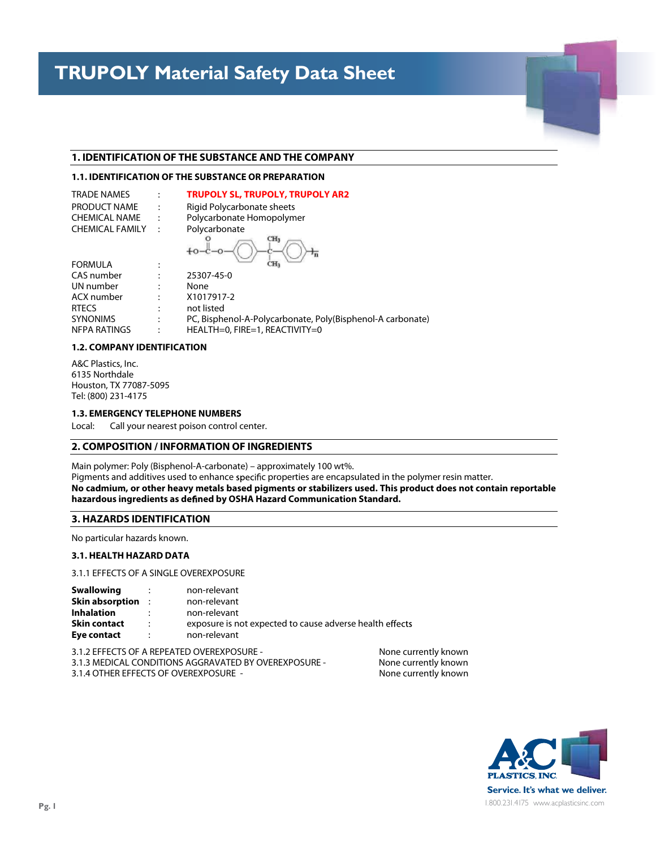#### **1. IDENTIFICATION OF THE SUBSTANCE AND THE COMPANY**

## **1.1. IDENTIFICATION OF THE SUBSTANCE OR PREPARATION**

**This Safety Data Sheet conforms to EC Directive 91/155/EEC**

| <b>TRADE NAMES</b>     | $\ddot{\phantom{0}}$ | <b>TRUPOLY SL, TRUPOLY, TRUPOLY AR2</b> |
|------------------------|----------------------|-----------------------------------------|
| PRODUCT NAME           | $\mathbb{I}$         | Rigid Polycarbonate sheets              |
| <b>CHEMICAL NAME</b>   |                      | Polycarbonate Homopolymer               |
| <b>CHEMICAL FAMILY</b> | <b>Contract</b>      | Polycarbonate                           |
|                        |                      | CH <sub>3</sub>                         |

| ٠      |               |
|--------|---------------|
| ٠<br>٠ | 25307-45-0    |
| ٠      |               |
| ٠<br>٠ | None          |
|        | $\frac{1}{4}$ |

| UN number       | ٠ | None                                                       |
|-----------------|---|------------------------------------------------------------|
| ACX number      |   | X1017917-2                                                 |
| <b>RTFCS</b>    |   | not listed                                                 |
| <b>SYNONIMS</b> |   | PC, Bisphenol-A-Polycarbonate, Poly(Bisphenol-A carbonate) |
| NFPA RATINGS    |   | $HEALTH=0.$ FIRE=1. REACTIVITY=0                           |

## **1.2. COMPANY IDENTIFICATION**

**Polycarbonate Sheet**

A&C Plastics, Inc. 6135 Northdale Houston, TX 77087-5095 Tel: (800) 231-4175

**FORMULA** CAS number

## **1.3. EMERGENCY TELEPHONE NUMBERS**

Local: Call your nearest poison control center.

## **2. COMPOSITION / INFORMATION OF INGREDIENTS**

Main polymer: Poly (Bisphenol-A-carbonate) – approximately 100 wt%.

Pigments and additives used to enhance specific properties are encapsulated in the polymer resin matter. No cadmium, or other heavy metals based pigments or stabilizers used. This product does not contain reportable **hazardous ingredients as de ned by OSHA Hazard Communication Standard.**

A cordination recipients this Material Safety Data Sheet to study it carefully to be computed the study it carefully to study it carefully to be computed to be computed the cordination of hazards, if any, of hazards, if a the product involved. In the interest of safety it is recommended (1) notify your employees, agents and contractors of the relevant information on this sheet, (2) furnish a copy to each of your customers for the product, and (3) request your

## **3. HAZARDS IDENTIFICATION**

No particular hazards known.

# **3.1. HEALTH HAZARD DATA**

3.1.1 EFFECTS OF A SINGLE OVEREXPOSURE

| <b>Swallowing</b>        | non-relevant                                             |
|--------------------------|----------------------------------------------------------|
| $\sim$ 100 $\sim$        | non-relevant                                             |
| <b>Skin absorption :</b> | non-relevant                                             |
| <b>Inhalation</b>        | exposure is not expected to cause adverse health effects |
| <b>Skin contact</b>      | $\mathbf{r}$                                             |
| Eye contact              | non-relevant                                             |

3.1.2 EFFECTS OF A REPEATED OVEREXPOSURE - None currently known<br>3.1.3 MEDICAL CONDITIONS AGGRAVATED BY OVEREXPOSURE - None currently known 3.1.3 MEDICAL CONDITIONS AGGRAVATED BY OVEREXPOSURE -3.1.4 OTHER EFFECTS OF OVEREXPOSURE - None currently known

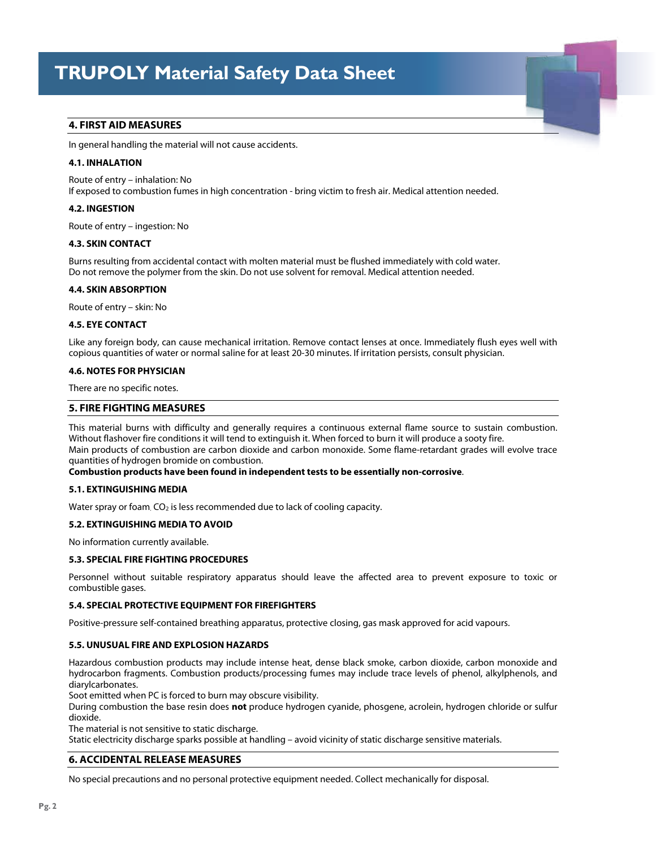Ramat Yohanan 30035, Israel

# **4. FIRST AID MEASURES**

In general handling the material will not cause accidents.

## **4.1. INHALATION**

Route of entry – inhalation: No If exposed to combustion fumes in high concentration - bring victim to fresh air. Medical attention needed.

### **4.2. INGESTION**

Route of entry – ingestion: No

### **4.3. SKIN CONTACT**

Burns resulting from accidental contact with molten material must be flushed immediately with cold water. Do not remove the polymer from the skin. Do not use solvent for removal. Medical attention needed.

#### **4.4. SKIN ABSORPTION**

Route of entry – skin: No

#### **4.5. EYE CONTACT**

Like any foreign body, can cause mechanical irritation. Remove contact lenses at once. Immediately flush eyes well with copious quantities of water or normal saline for at least 20-30 minutes. If irritation persists, consult physician.

#### **4.6. NOTES FOR PHYSICIAN**

There are no specific notes.

## **5. FIRE FIGHTING MEASURES**

This material burns with difficulty and generally requires a continuous external flame source to sustain combustion. Without flashover fire conditions it will tend to extinguish it. When forced to burn it will produce a sooty fire. Main products of combustion are carbon dioxide and carbon monoxide. Some flame-retardant grades will evolve trace quantities of hydrogen bromide on combustion.

## **Combustion products have been found in independent tests to be essentially non-corrosive**.

#### **5.1. EXTINGUISHING MEDIA**

Water spray or foam. CO<sub>2</sub> is less recommended due to lack of cooling capacity.

#### **5.2. EXTINGUISHING MEDIA TO AVOID**

No information currently available.

#### **5.3. SPECIAL FIRE FIGHTING PROCEDURES**

Personnel without suitable respiratory apparatus should leave the affected area to prevent exposure to toxic or combustible gases.

#### **5.4. SPECIAL PROTECTIVE EQUIPMENT FOR FIREFIGHTERS**

Positive-pressure self-contained breathing apparatus, protective closing, gas mask approved for acid vapours.

#### **5.5. UNUSUAL FIRE AND EXPLOSION HAZARDS**

Hazardous combustion products may include intense heat, dense black smoke, carbon dioxide, carbon monoxide and hydrocarbon fragments. Combustion products/processing fumes may include trace levels of phenol, alkylphenols, and diarylcarbonates.

Soot emitted when PC is forced to burn may obscure visibility.

During combustion the base resin does **not** produce hydrogen cyanide, phosgene, acrolein, hydrogen chloride or sulfur dioxide.

The material is not sensitive to static discharge.

Static electricity discharge sparks possible at handling – avoid vicinity of static discharge sensitive materials.

## **6. ACCIDENTAL RELEASE MEASURES**

No special precautions and no personal protective equipment needed. Collect mechanically for disposal.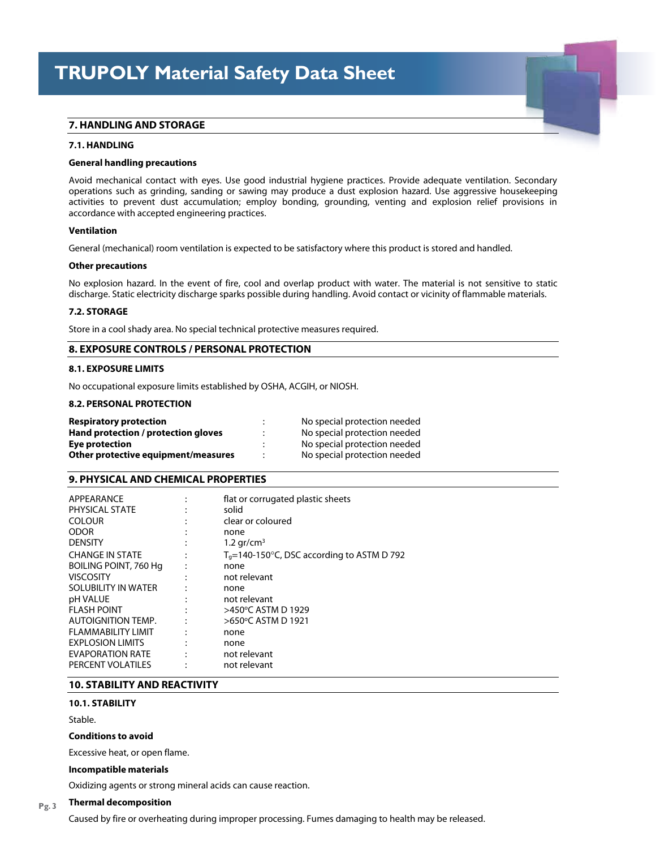Ramat Yohanan 30035, Israel

# **7. HANDLING AND STORAGE**

#### **7.1. HANDLING**

#### **General handling precautions**

Avoid mechanical contact with eyes. Use good industrial hygiene practices. Provide adequate ventilation. Secondary operations such as grinding, sanding or sawing may produce a dust explosion hazard. Use aggressive housekeeping activities to prevent dust accumulation; employ bonding, grounding, venting and explosion relief provisions in accordance with accepted engineering practices.

#### **Ventilation**

General (mechanical) room ventilation is expected to be satisfactory where this product is stored and handled.

#### **Other precautions**

No explosion hazard. In the event of fire, cool and overlap product with water. The material is not sensitive to static discharge. Static electricity discharge sparks possible during handling. Avoid contact or vicinity of flammable materials.

#### **7.2. STORAGE**

Store in a cool shady area. No special technical protective measures required.

## **8. EXPOSURE CONTROLS / PERSONAL PROTECTION**

#### **8.1. EXPOSURE LIMITS**

No occupational exposure limits established by OSHA, ACGIH, or NIOSH.

## **8.2. PERSONAL PROTECTION**

| <b>Respiratory protection</b>       | No special protection needed |
|-------------------------------------|------------------------------|
| Hand protection / protection gloves | No special protection needed |
| Eye protection                      | No special protection needed |
| Other protective equipment/measures | No special protection needed |

# **9. PHYSICAL AND CHEMICAL PROPERTIES**

| APPEARANCE                   | flat or corrugated plastic sheets                        |
|------------------------------|----------------------------------------------------------|
| PHYSICAL STATE               | solid                                                    |
| <b>COLOUR</b>                | clear or coloured                                        |
| <b>ODOR</b>                  | none                                                     |
| <b>DENSITY</b>               | 1.2 $gr/cm^3$                                            |
| <b>CHANGE IN STATE</b>       | $T_q$ =140-150 $^{\circ}$ C, DSC according to ASTM D 792 |
| <b>BOILING POINT, 760 Hg</b> | none                                                     |
| <b>VISCOSITY</b>             | not relevant                                             |
| SOLUBILITY IN WATER          | none                                                     |
| pH VALUE                     | not relevant                                             |
| <b>FLASH POINT</b>           | >450°C ASTM D 1929                                       |
| <b>AUTOIGNITION TEMP.</b>    | >650°C ASTM D 1921                                       |
| <b>FLAMMABILITY LIMIT</b>    | none                                                     |
| <b>EXPLOSION LIMITS</b>      | none                                                     |
| <b>EVAPORATION RATE</b>      | not relevant                                             |
| PERCENT VOLATILES            | not relevant                                             |

# **10. STABILITY AND REACTIVITY**

## **10.1. STABILITY**

Stable.

## **Conditions to avoid**

Excessive heat, or open flame.

#### **Incompatible materials**

Oxidizing agents or strong mineral acids can cause reaction.

#### **Thermal decomposition Pg. 3**

Caused by fire or overheating during improper processing. Fumes damaging to health may be released.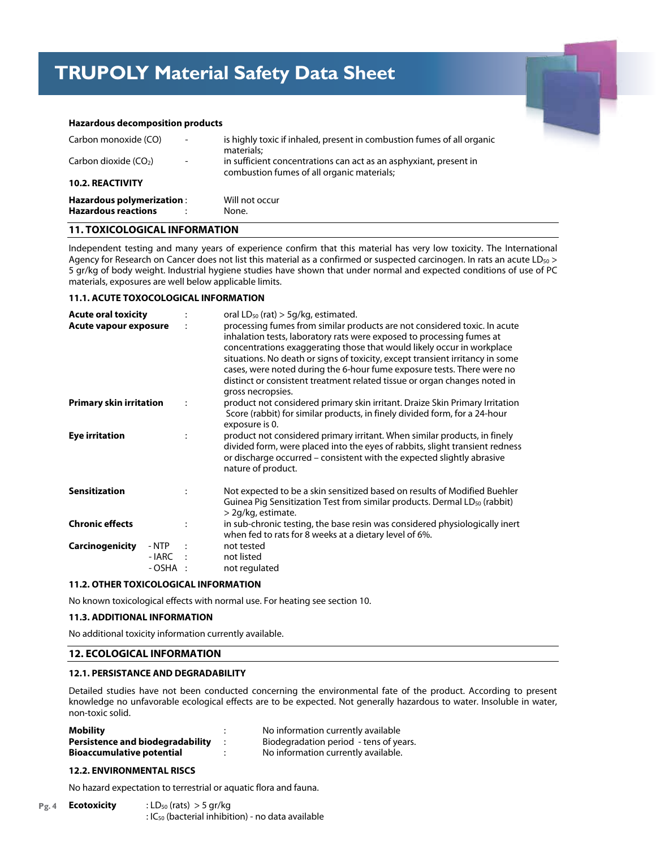#### $T$ Material Safet **TRUPOLY Material Safety Data Sheet**

Ramat Yohanan 30035, Israel



#### **Hazardous decomposition products**

| Carbon monoxide (CO)       | $\overline{\phantom{a}}$ | is highly toxic if inhaled, present in combustion fumes of all organic<br>materials:                            |
|----------------------------|--------------------------|-----------------------------------------------------------------------------------------------------------------|
| Carbon dioxide $(CO2)$     | $\overline{\phantom{a}}$ | in sufficient concentrations can act as an asphyxiant, present in<br>combustion fumes of all organic materials; |
| <b>10.2. REACTIVITY</b>    |                          |                                                                                                                 |
| Hazardous polymerization:  |                          | Will not occur                                                                                                  |
| <b>Hazardous reactions</b> |                          | None.                                                                                                           |

# **11. TOXICOLOGICAL INFORMATION**

Independent testing and many years of experience confirm that this material has very low toxicity. The International Agency for Research on Cancer does not list this material as a confirmed or suspected carcinogen. In rats an acute LD<sub>50</sub> > 5 gr/kg of body weight. Industrial hygiene studies have shown that under normal and expected conditions of use of PC materials, exposures are well below applicable limits.

#### **11.1. ACUTE TOXOCOLOGICAL INFORMATION**

| <b>Acute oral toxicity</b><br>Acute vapour exposure |                             |                | oral $LD_{50}$ (rat) $>$ 5g/kg, estimated.<br>processing fumes from similar products are not considered toxic. In acute<br>inhalation tests, laboratory rats were exposed to processing fumes at<br>concentrations exaggerating those that would likely occur in workplace<br>situations. No death or signs of toxicity, except transient irritancy in some<br>cases, were noted during the 6-hour fume exposure tests. There were no<br>distinct or consistent treatment related tissue or organ changes noted in<br>gross necropsies. |  |  |
|-----------------------------------------------------|-----------------------------|----------------|-----------------------------------------------------------------------------------------------------------------------------------------------------------------------------------------------------------------------------------------------------------------------------------------------------------------------------------------------------------------------------------------------------------------------------------------------------------------------------------------------------------------------------------------|--|--|
| <b>Primary skin irritation</b>                      |                             |                | product not considered primary skin irritant. Draize Skin Primary Irritation<br>Score (rabbit) for similar products, in finely divided form, for a 24-hour<br>exposure is 0.                                                                                                                                                                                                                                                                                                                                                            |  |  |
| <b>Eye irritation</b>                               |                             | $\ddot{\cdot}$ | product not considered primary irritant. When similar products, in finely<br>divided form, were placed into the eyes of rabbits, slight transient redness<br>or discharge occurred – consistent with the expected slightly abrasive<br>nature of product.                                                                                                                                                                                                                                                                               |  |  |
| <b>Sensitization</b>                                |                             |                | Not expected to be a skin sensitized based on results of Modified Buehler<br>Guinea Pig Sensitization Test from similar products. Dermal LD <sub>50</sub> (rabbit)<br>> 2g/kg, estimate.                                                                                                                                                                                                                                                                                                                                                |  |  |
| <b>Chronic effects</b>                              |                             | $\ddot{\cdot}$ | in sub-chronic testing, the base resin was considered physiologically inert<br>when fed to rats for 8 weeks at a dietary level of 6%.                                                                                                                                                                                                                                                                                                                                                                                                   |  |  |
| Carcinogenicity                                     | - NTP<br>- IARC<br>- OSHA : | $\cdot$ :      | not tested<br>not listed<br>not regulated                                                                                                                                                                                                                                                                                                                                                                                                                                                                                               |  |  |

## **11.2. OTHER TOXICOLOGICAL INFORMATION**

No known toxicological effects with normal use. For heating see section 10.

#### **11.3. ADDITIONAL INFORMATION**

No additional toxicity information currently available.

## **12. ECOLOGICAL INFORMATION**

#### **12.1. PERSISTANCE AND DEGRADABILITY**

Detailed studies have not been conducted concerning the environmental fate of the product. According to present knowledge no unfavorable ecological effects are to be expected. Not generally hazardous to water. Insoluble in water, non-toxic solid.

| Mobility                                | No information currently available     |
|-----------------------------------------|----------------------------------------|
| <b>Persistence and biodegradability</b> | Biodegradation period - tens of years. |
| <b>Bioaccumulative potential</b>        | No information currently available.    |

#### **12.2. ENVIRONMENTAL RISCS**

No hazard expectation to terrestrial or aquatic flora and fauna.